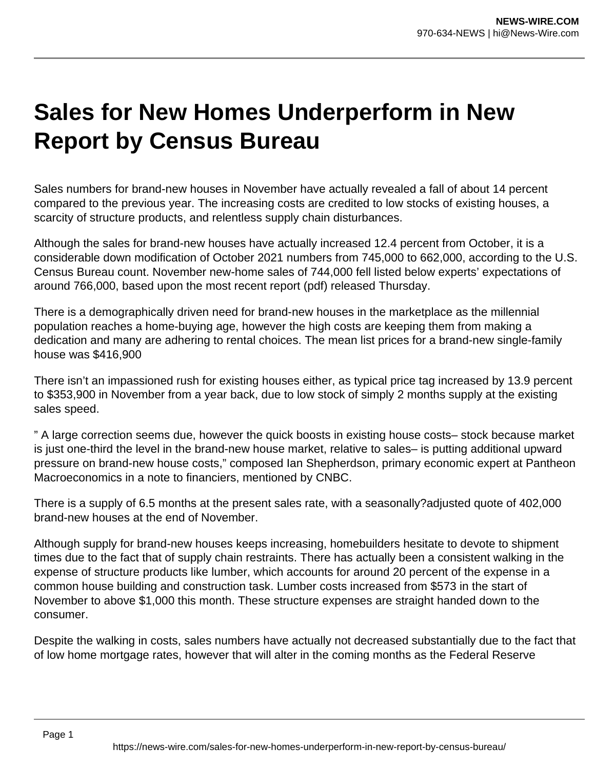## **Sales for New Homes Underperform in New Report by Census Bureau**

Sales numbers for brand-new houses in November have actually revealed a fall of about 14 percent compared to the previous year. The increasing costs are credited to low stocks of existing houses, a scarcity of structure products, and relentless supply chain disturbances.

Although the sales for brand-new houses have actually increased 12.4 percent from October, it is a considerable down modification of October 2021 numbers from 745,000 to 662,000, according to the U.S. Census Bureau count. November new-home sales of 744,000 fell listed below experts' expectations of around 766,000, based upon the most recent report (pdf) released Thursday.

There is a demographically driven need for brand-new houses in the marketplace as the millennial population reaches a home-buying age, however the high costs are keeping them from making a dedication and many are adhering to rental choices. The mean list prices for a brand-new single-family house was \$416,900

There isn't an impassioned rush for existing houses either, as typical price tag increased by 13.9 percent to \$353,900 in November from a year back, due to low stock of simply 2 months supply at the existing sales speed.

" A large correction seems due, however the quick boosts in existing house costs– stock because market is just one-third the level in the brand-new house market, relative to sales– is putting additional upward pressure on brand-new house costs," composed Ian Shepherdson, primary economic expert at Pantheon Macroeconomics in a note to financiers, mentioned by CNBC.

There is a supply of 6.5 months at the present sales rate, with a seasonally?adjusted quote of 402,000 brand-new houses at the end of November.

Although supply for brand-new houses keeps increasing, homebuilders hesitate to devote to shipment times due to the fact that of supply chain restraints. There has actually been a consistent walking in the expense of structure products like lumber, which accounts for around 20 percent of the expense in a common house building and construction task. Lumber costs increased from \$573 in the start of November to above \$1,000 this month. These structure expenses are straight handed down to the consumer.

Despite the walking in costs, sales numbers have actually not decreased substantially due to the fact that of low home mortgage rates, however that will alter in the coming months as the Federal Reserve